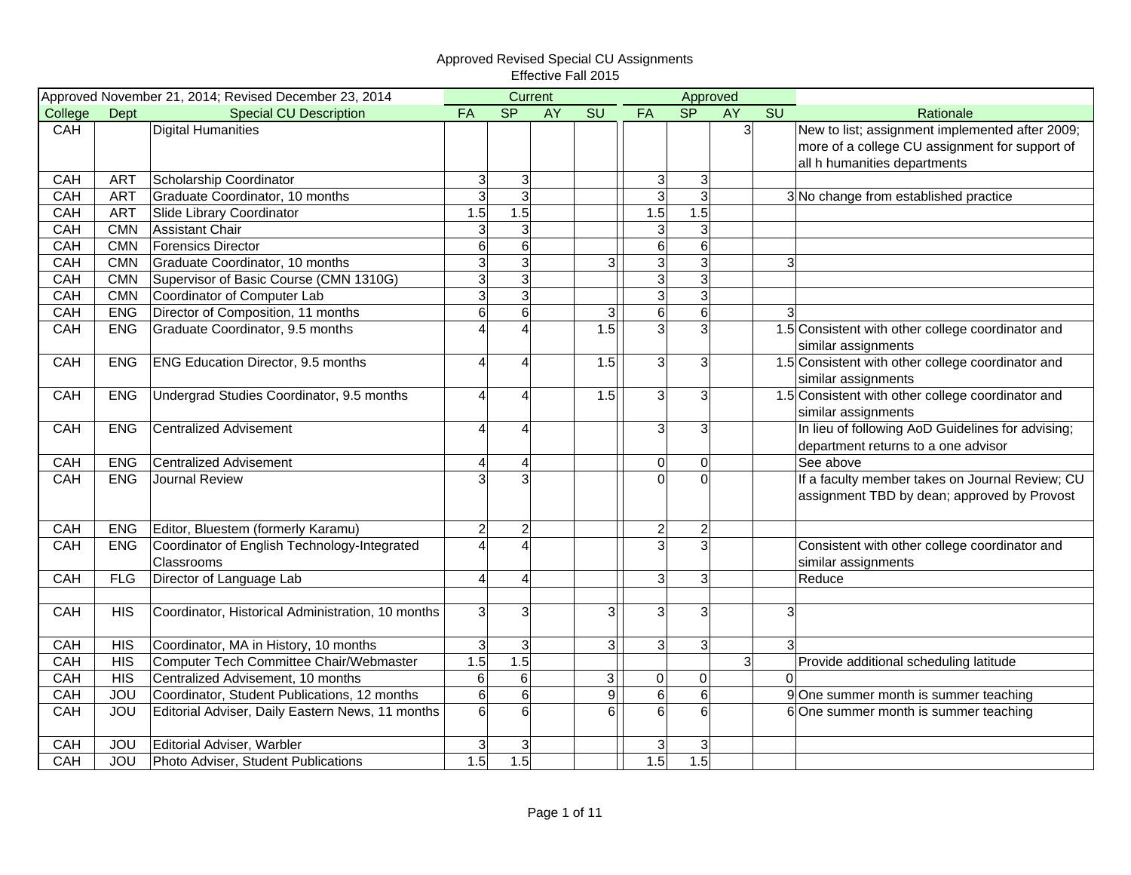|            |            | Approved November 21, 2014; Revised December 23, 2014 |                  | Current                 |    |                |                 |                 | Approved       |                |                                                   |
|------------|------------|-------------------------------------------------------|------------------|-------------------------|----|----------------|-----------------|-----------------|----------------|----------------|---------------------------------------------------|
| College    | Dept       | <b>Special CU Description</b>                         | FA               | <b>SP</b>               | AY | <b>SU</b>      | FA              | S <sub>P</sub>  | <b>AY</b>      | SU             | Rationale                                         |
| CAH        |            | <b>Digital Humanities</b>                             |                  |                         |    |                |                 |                 | 3 <sup>1</sup> |                | New to list; assignment implemented after 2009;   |
|            |            |                                                       |                  |                         |    |                |                 |                 |                |                | more of a college CU assignment for support of    |
|            |            |                                                       |                  |                         |    |                |                 |                 |                |                | all h humanities departments                      |
| CAH        | <b>ART</b> | Scholarship Coordinator                               | 3                | $\mathbf{3}$            |    |                | 3 <sup>1</sup>  | $\mathbf{3}$    |                |                |                                                   |
| CAH        | <b>ART</b> | Graduate Coordinator, 10 months                       | 3                | $\overline{3}$          |    |                | $\overline{3}$  | $\overline{3}$  |                |                | 3 No change from established practice             |
| CAH        | <b>ART</b> | Slide Library Coordinator                             | 1.5              | 1.5                     |    |                | 1.5             | 1.5             |                |                |                                                   |
| CAH        | <b>CMN</b> | <b>Assistant Chair</b>                                | 3                | $\mathbf{3}$            |    |                | $\overline{3}$  | 3               |                |                |                                                   |
| CAH        | <b>CMN</b> | <b>Forensics Director</b>                             | $6 \overline{6}$ | $6\overline{6}$         |    |                | $6 \overline{}$ | $6\phantom{1}6$ |                |                |                                                   |
| CAH        | <b>CMN</b> | Graduate Coordinator, 10 months                       | $\overline{3}$   | $\overline{3}$          |    | $\overline{3}$ | $\overline{3}$  | 3               |                | $\overline{3}$ |                                                   |
| CAH        | <b>CMN</b> | Supervisor of Basic Course (CMN 1310G)                | 3                | $\mathbf{3}$            |    |                | $\overline{3}$  | 3               |                |                |                                                   |
| CAH        | <b>CMN</b> | Coordinator of Computer Lab                           | 3                | $\mathbf{3}$            |    |                | $\overline{3}$  | 3               |                |                |                                                   |
| CAH        | <b>ENG</b> | Director of Composition, 11 months                    | $6\phantom{1}$   | $6 \,$                  |    | 3              | $6 \overline{}$ | $6\phantom{1}6$ |                | $\mathbf{3}$   |                                                   |
| CAH        | <b>ENG</b> | Graduate Coordinator, 9.5 months                      | $\Lambda$        | $\overline{\mathbf{A}}$ |    | 1.5            | $\overline{3}$  | 3               |                |                | 1.5 Consistent with other college coordinator and |
|            |            |                                                       |                  |                         |    |                |                 |                 |                |                | similar assignments                               |
| CAH        | <b>ENG</b> | <b>ENG Education Director, 9.5 months</b>             | $\Delta$         | 4                       |    | 1.5            | 3 <sup>1</sup>  | 3               |                |                | 1.5 Consistent with other college coordinator and |
|            |            |                                                       |                  |                         |    |                |                 |                 |                |                | similar assignments                               |
| CAH        | <b>ENG</b> | Undergrad Studies Coordinator, 9.5 months             | Δ                | 4                       |    | 1.5            | 3 <sup>1</sup>  | 3               |                |                | 1.5 Consistent with other college coordinator and |
|            |            |                                                       |                  |                         |    |                |                 |                 |                |                | similar assignments                               |
| CAH        | <b>ENG</b> | <b>Centralized Advisement</b>                         | $\Delta$         | 4                       |    |                | $\overline{3}$  | 3               |                |                | In lieu of following AoD Guidelines for advising; |
|            |            |                                                       |                  |                         |    |                |                 |                 |                |                | department returns to a one advisor               |
| CAH        | <b>ENG</b> | <b>Centralized Advisement</b>                         | $\overline{4}$   | 4                       |    |                | 0               | 0               |                |                | See above                                         |
| CAH        | <b>ENG</b> | Journal Review                                        |                  | $\overline{3}$          |    |                | $\Omega$        | $\Omega$        |                |                | If a faculty member takes on Journal Review; CU   |
|            |            |                                                       |                  |                         |    |                |                 |                 |                |                | assignment TBD by dean; approved by Provost       |
|            |            |                                                       |                  |                         |    |                |                 |                 |                |                |                                                   |
| CAH        | <b>ENG</b> | Editor, Bluestem (formerly Karamu)                    | $\overline{c}$   | $\overline{2}$          |    |                | $\overline{2}$  | $\overline{c}$  |                |                |                                                   |
| <b>CAH</b> | <b>ENG</b> | Coordinator of English Technology-Integrated          |                  | $\overline{\mathbf{A}}$ |    |                | $\overline{3}$  | 3               |                |                | Consistent with other college coordinator and     |
|            |            | Classrooms                                            |                  |                         |    |                |                 |                 |                |                | similar assignments                               |
| CAH        | <b>FLG</b> | Director of Language Lab                              | $\overline{4}$   | 4                       |    |                | 3 <sup>1</sup>  | 3               |                |                | Reduce                                            |
|            |            |                                                       |                  |                         |    |                |                 |                 |                |                |                                                   |
| CAH        | <b>HIS</b> | Coordinator, Historical Administration, 10 months     | 3                | $\mathbf{3}$            |    | 3              | $\overline{3}$  | 3               |                | 3              |                                                   |
|            |            |                                                       |                  |                         |    |                |                 |                 |                |                |                                                   |
| CAH        | <b>HIS</b> | Coordinator, MA in History, 10 months                 | 3                | $\mathbf{3}$            |    | $\mathbf{3}$   | 3 <sup>1</sup>  | 3 <sup>1</sup>  |                |                |                                                   |
| CAH        | <b>HIS</b> | Computer Tech Committee Chair/Webmaster               | 1.5              | 1.5                     |    |                |                 |                 | 3 <sup>1</sup> |                | Provide additional scheduling latitude            |
| CAH        | <b>HIS</b> | Centralized Advisement, 10 months                     | $\,$ 6 $\,$      | $\,6\,$                 |    | $\overline{3}$ | $\mathsf 0$     | $\overline{0}$  |                | $\Omega$       |                                                   |
| CAH        | JOU        | Coordinator, Student Publications, 12 months          | $6 \overline{6}$ | $\,$ 6 $\,$             |    | $\mathsf g$    | $\,$ 6 $\,$     | $6\phantom{1}6$ |                |                | 9 One summer month is summer teaching             |
| CAH        | <b>JOU</b> | Editorial Adviser, Daily Eastern News, 11 months      | $6 \overline{6}$ | 6                       |    | 6              | $\overline{6}$  | $6\phantom{1}6$ |                |                | 6 One summer month is summer teaching             |
|            |            |                                                       |                  |                         |    |                |                 |                 |                |                |                                                   |
| CAH        | <b>JOU</b> | Editorial Adviser, Warbler                            | 3                | $\mathbf{3}$            |    |                | $\mathbf{3}$    | 3               |                |                |                                                   |
| CAH        | <b>JOU</b> | Photo Adviser, Student Publications                   | 1.5              | 1.5                     |    |                | 1.5             | 1.5             |                |                |                                                   |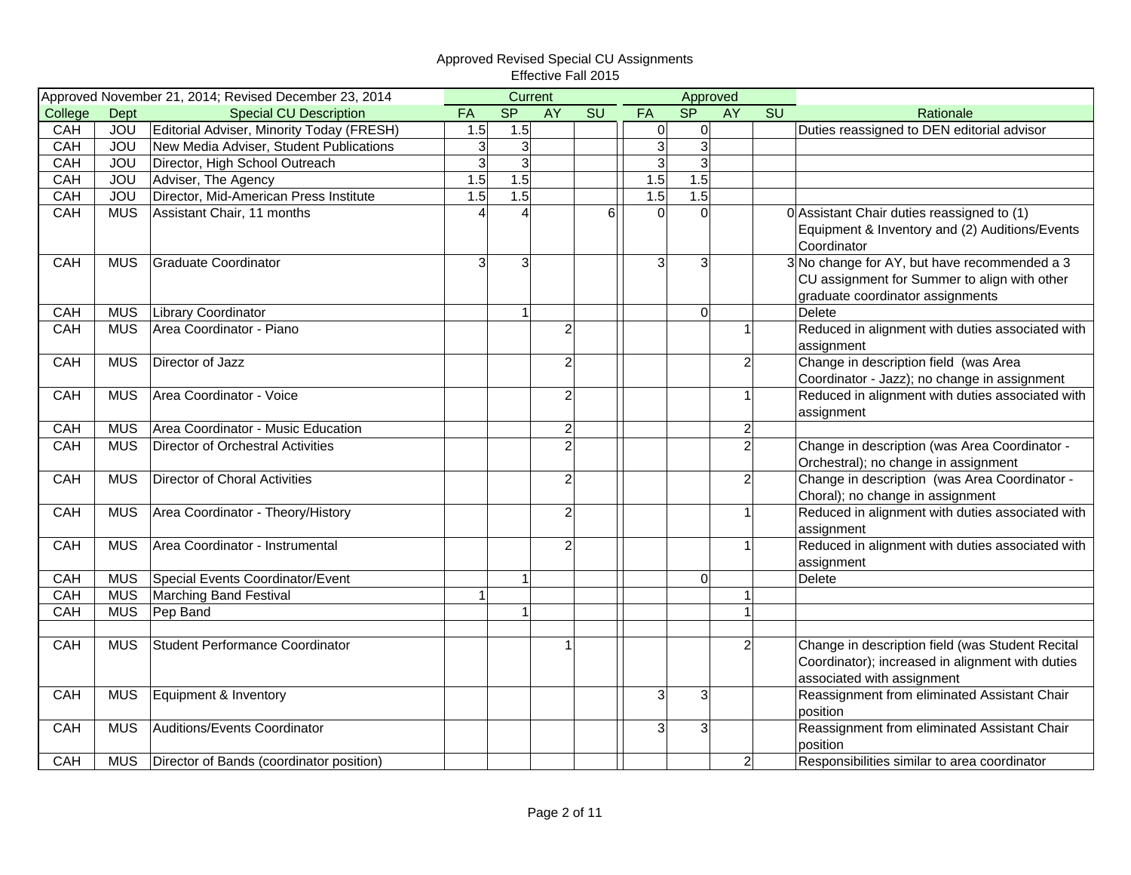|            |            | Approved November 21, 2014; Revised December 23, 2014 |                | Current        |                |    |                |                | Approved  |                |                                                                                                                                    |
|------------|------------|-------------------------------------------------------|----------------|----------------|----------------|----|----------------|----------------|-----------|----------------|------------------------------------------------------------------------------------------------------------------------------------|
| College    | Dept       | <b>Special CU Description</b>                         | FA             | <b>SP</b>      | <b>AY</b>      | SU | FA             | SP             | <b>AY</b> | SU             | Rationale                                                                                                                          |
| <b>CAH</b> | <b>JOU</b> | Editorial Adviser, Minority Today (FRESH)             | 1.5            | 1.5            |                |    | $\overline{0}$ | $\mathbf 0$    |           |                | Duties reassigned to DEN editorial advisor                                                                                         |
| CAH        | <b>JOU</b> | New Media Adviser, Student Publications               | $\overline{3}$ | 3 <sup>1</sup> |                |    | $\overline{3}$ | $\overline{3}$ |           |                |                                                                                                                                    |
| CAH        | <b>JOU</b> | Director, High School Outreach                        | $\overline{3}$ | 3 <sup>1</sup> |                |    | ω              | 3              |           |                |                                                                                                                                    |
| CAH        | <b>JOU</b> | Adviser, The Agency                                   | 1.5            | 1.5            |                |    | 1.5            | 1.5            |           |                |                                                                                                                                    |
| CAH        | <b>JOU</b> | Director, Mid-American Press Institute                | 1.5            | 1.5            |                |    | 1.5            | 1.5            |           |                |                                                                                                                                    |
| CAH        | <b>MUS</b> | Assistant Chair, 11 months                            |                | 4              |                | 6  | 0              | $\Omega$       |           |                | 0 Assistant Chair duties reassigned to (1)<br>Equipment & Inventory and (2) Auditions/Events<br>Coordinator                        |
| CAH        | <b>MUS</b> | <b>Graduate Coordinator</b>                           | 3              | 3 <sup>l</sup> |                |    | 3              | 3              |           |                | 3 No change for AY, but have recommended a 3<br>CU assignment for Summer to align with other<br>graduate coordinator assignments   |
| CAH        | <b>MUS</b> | Library Coordinator                                   |                | $\mathbf{1}$   |                |    |                | $\Omega$       |           |                | Delete                                                                                                                             |
| CAH        | <b>MUS</b> | Area Coordinator - Piano                              |                |                | $\overline{2}$ |    |                |                |           | 1              | Reduced in alignment with duties associated with<br>assignment                                                                     |
| CAH        | <b>MUS</b> | Director of Jazz                                      |                |                | $\overline{c}$ |    |                |                |           | $\overline{2}$ | Change in description field (was Area<br>Coordinator - Jazz); no change in assignment                                              |
| CAH        | <b>MUS</b> | Area Coordinator - Voice                              |                |                | $\overline{c}$ |    |                |                |           | $\mathbf{1}$   | Reduced in alignment with duties associated with<br>assignment                                                                     |
| CAH        | <b>MUS</b> | Area Coordinator - Music Education                    |                |                | $\overline{c}$ |    |                |                |           | $\overline{2}$ |                                                                                                                                    |
| CAH        | <b>MUS</b> | Director of Orchestral Activities                     |                |                | $\overline{2}$ |    |                |                |           | $\overline{2}$ | Change in description (was Area Coordinator -<br>Orchestral); no change in assignment                                              |
| CAH        | <b>MUS</b> | <b>Director of Choral Activities</b>                  |                |                | $\overline{c}$ |    |                |                |           | $\overline{c}$ | Change in description (was Area Coordinator -<br>Choral); no change in assignment                                                  |
| CAH        | <b>MUS</b> | Area Coordinator - Theory/History                     |                |                | $\overline{c}$ |    |                |                |           | $\mathbf{1}$   | Reduced in alignment with duties associated with<br>assignment                                                                     |
| CAH        | <b>MUS</b> | Area Coordinator - Instrumental                       |                |                | $\overline{c}$ |    |                |                |           | $\mathbf{1}$   | Reduced in alignment with duties associated with<br>assignment                                                                     |
| CAH        | <b>MUS</b> | Special Events Coordinator/Event                      |                | $\overline{1}$ |                |    |                | $\Omega$       |           |                | <b>Delete</b>                                                                                                                      |
| <b>CAH</b> | <b>MUS</b> | Marching Band Festival                                | $\mathbf{1}$   |                |                |    |                |                |           | $\mathbf{1}$   |                                                                                                                                    |
| CAH        | <b>MUS</b> | Pep Band                                              |                | $\mathbf{1}$   |                |    |                |                |           | $\mathbf{1}$   |                                                                                                                                    |
|            |            |                                                       |                |                |                |    |                |                |           |                |                                                                                                                                    |
| <b>CAH</b> | <b>MUS</b> | Student Performance Coordinator                       |                |                |                |    |                |                |           | $\overline{2}$ | Change in description field (was Student Recital<br>Coordinator); increased in alignment with duties<br>associated with assignment |
| CAH        | <b>MUS</b> | Equipment & Inventory                                 |                |                |                |    | 3              | 3              |           |                | Reassignment from eliminated Assistant Chair<br>position                                                                           |
| CAH        | <b>MUS</b> | Auditions/Events Coordinator                          |                |                |                |    | 3              | 3              |           |                | Reassignment from eliminated Assistant Chair<br>position                                                                           |
| CAH        | <b>MUS</b> | Director of Bands (coordinator position)              |                |                |                |    |                |                |           | $\overline{2}$ | Responsibilities similar to area coordinator                                                                                       |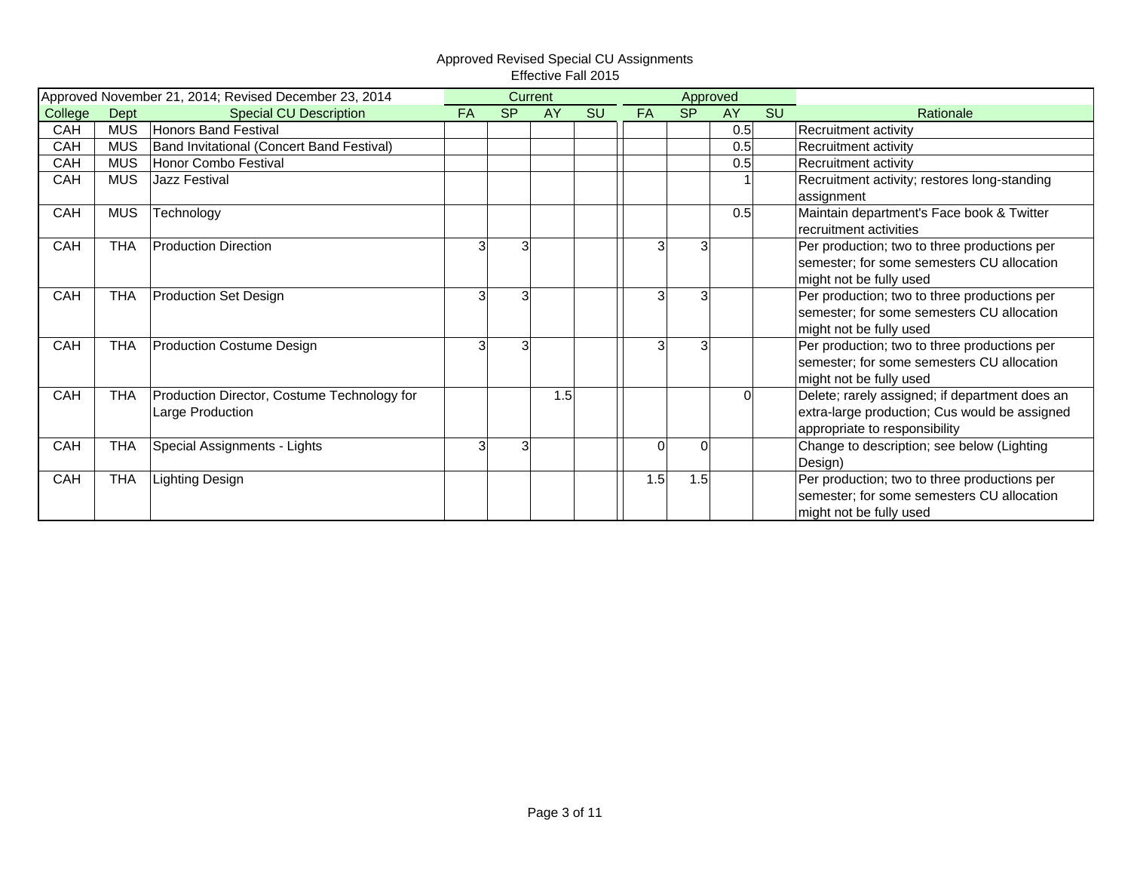| Approved November 21, 2014; Revised December 23, 2014 |            |                                             |           | Current   |           |    |           | Approved  |           |           |                                                |
|-------------------------------------------------------|------------|---------------------------------------------|-----------|-----------|-----------|----|-----------|-----------|-----------|-----------|------------------------------------------------|
| College                                               | Dept       | <b>Special CU Description</b>               | <b>FA</b> | <b>SP</b> | <b>AY</b> | SU | <b>FA</b> | <b>SP</b> | <b>AY</b> | <b>SU</b> | Rationale                                      |
| CAH                                                   | <b>MUS</b> | <b>Honors Band Festival</b>                 |           |           |           |    |           |           | 0.5       |           | Recruitment activity                           |
| CAH                                                   | <b>MUS</b> | Band Invitational (Concert Band Festival)   |           |           |           |    |           |           | 0.5       |           | Recruitment activity                           |
| CAH                                                   | <b>MUS</b> | Honor Combo Festival                        |           |           |           |    |           |           | 0.5       |           | Recruitment activity                           |
| CAH                                                   | <b>MUS</b> | Jazz Festival                               |           |           |           |    |           |           |           |           | Recruitment activity; restores long-standing   |
|                                                       |            |                                             |           |           |           |    |           |           |           |           | assignment                                     |
| CAH                                                   | <b>MUS</b> | Technology                                  |           |           |           |    |           |           | 0.5       |           | Maintain department's Face book & Twitter      |
|                                                       |            |                                             |           |           |           |    |           |           |           |           | recruitment activities                         |
| CAH                                                   | <b>THA</b> | <b>Production Direction</b>                 |           | 3         |           |    | 3         |           |           |           | Per production; two to three productions per   |
|                                                       |            |                                             |           |           |           |    |           |           |           |           | semester; for some semesters CU allocation     |
|                                                       |            |                                             |           |           |           |    |           |           |           |           | might not be fully used                        |
| CAH                                                   | <b>THA</b> | <b>Production Set Design</b>                |           | 3         |           |    | 3         |           |           |           | Per production; two to three productions per   |
|                                                       |            |                                             |           |           |           |    |           |           |           |           | semester; for some semesters CU allocation     |
|                                                       |            |                                             |           |           |           |    |           |           |           |           | might not be fully used                        |
| CAH                                                   | <b>THA</b> | <b>Production Costume Design</b>            |           | 3         |           |    | 3         |           |           |           | Per production; two to three productions per   |
|                                                       |            |                                             |           |           |           |    |           |           |           |           | semester; for some semesters CU allocation     |
|                                                       |            |                                             |           |           |           |    |           |           |           |           | might not be fully used                        |
| CAH                                                   | <b>THA</b> | Production Director, Costume Technology for |           |           | 1.5       |    |           |           | $\Omega$  |           | Delete; rarely assigned; if department does an |
|                                                       |            | Large Production                            |           |           |           |    |           |           |           |           | extra-large production; Cus would be assigned  |
|                                                       |            |                                             |           |           |           |    |           |           |           |           | appropriate to responsibility                  |
| CAH                                                   | <b>THA</b> | Special Assignments - Lights                | 3         | 3         |           |    | 0         | $\Omega$  |           |           | Change to description; see below (Lighting     |
|                                                       |            |                                             |           |           |           |    |           |           |           |           | Design)                                        |
| CAH                                                   | <b>THA</b> | Lighting Design                             |           |           |           |    | 1.5       | 1.5       |           |           | Per production; two to three productions per   |
|                                                       |            |                                             |           |           |           |    |           |           |           |           | semester; for some semesters CU allocation     |
|                                                       |            |                                             |           |           |           |    |           |           |           |           | might not be fully used                        |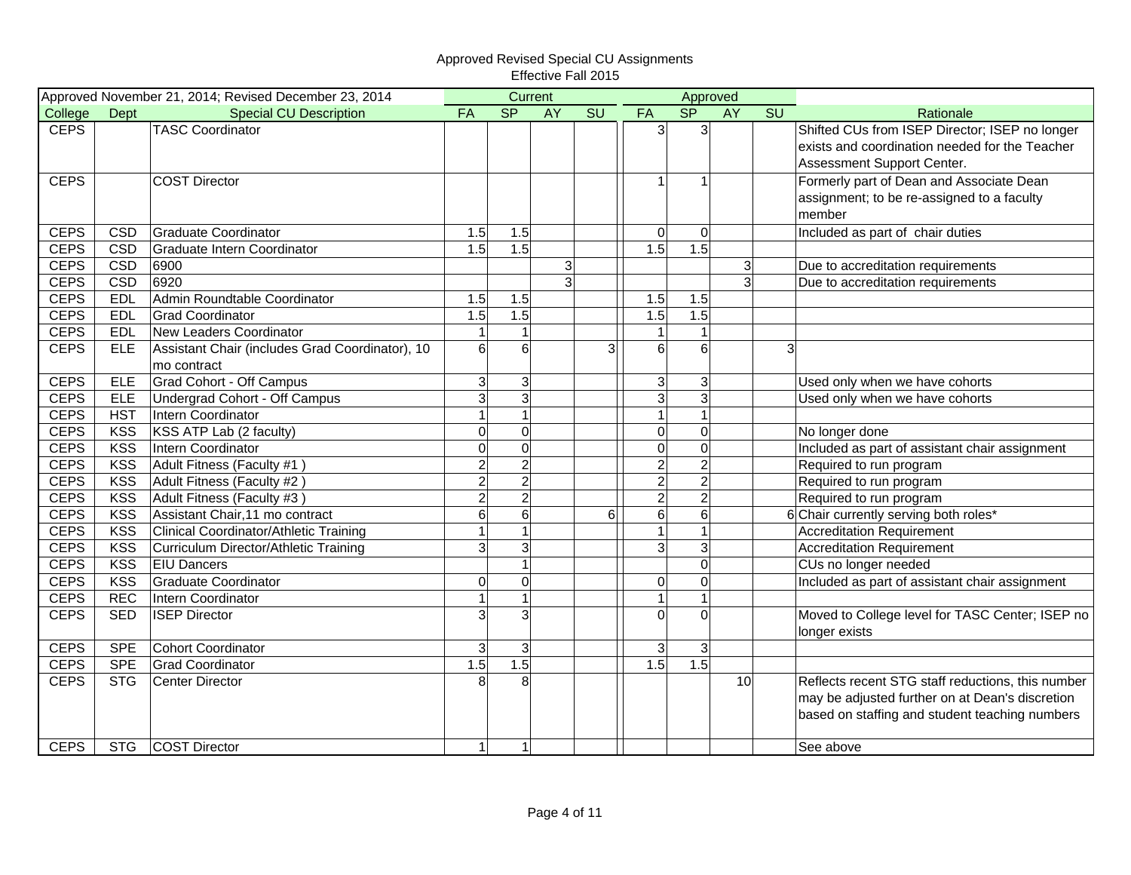|             |            | Approved November 21, 2014; Revised December 23, 2014 |                | Current        |                |                        |                | Approved        |                |                        |                                                   |
|-------------|------------|-------------------------------------------------------|----------------|----------------|----------------|------------------------|----------------|-----------------|----------------|------------------------|---------------------------------------------------|
| College     | Dept       | <b>Special CU Description</b>                         | FA             | S <sub>P</sub> | <b>AY</b>      | $\overline{\text{SU}}$ | FA             | SP              | <b>AY</b>      | $\overline{\text{SU}}$ | Rationale                                         |
| <b>CEPS</b> |            | <b>TASC Coordinator</b>                               |                |                |                |                        | 3              | 3               |                |                        | Shifted CUs from ISEP Director; ISEP no longer    |
|             |            |                                                       |                |                |                |                        |                |                 |                |                        | exists and coordination needed for the Teacher    |
|             |            |                                                       |                |                |                |                        |                |                 |                |                        | Assessment Support Center.                        |
| <b>CEPS</b> |            | <b>COST Director</b>                                  |                |                |                |                        | $\mathbf{1}$   | 1               |                |                        | Formerly part of Dean and Associate Dean          |
|             |            |                                                       |                |                |                |                        |                |                 |                |                        | assignment; to be re-assigned to a faculty        |
|             |            |                                                       |                |                |                |                        |                |                 |                |                        | member                                            |
| <b>CEPS</b> | <b>CSD</b> | <b>Graduate Coordinator</b>                           | 1.5            | 1.5            |                |                        | $\overline{0}$ | $\mathbf 0$     |                |                        | Included as part of chair duties                  |
| <b>CEPS</b> | <b>CSD</b> | Graduate Intern Coordinator                           | 1.5            | 1.5            |                |                        | 1.5            | 1.5             |                |                        |                                                   |
| <b>CEPS</b> | <b>CSD</b> | 6900                                                  |                |                | 3              |                        |                |                 | 3 <sup>1</sup> |                        | Due to accreditation requirements                 |
| <b>CEPS</b> | CSD        | 6920                                                  |                |                | $\overline{3}$ |                        |                |                 | $\overline{3}$ |                        | Due to accreditation requirements                 |
| <b>CEPS</b> | <b>EDL</b> | Admin Roundtable Coordinator                          | 1.5            | 1.5            |                |                        | 1.5            | 1.5             |                |                        |                                                   |
| <b>CEPS</b> | <b>EDL</b> | <b>Grad Coordinator</b>                               | 1.5            | 1.5            |                |                        | 1.5            | 1.5             |                |                        |                                                   |
| <b>CEPS</b> | <b>EDL</b> | New Leaders Coordinator                               |                | $\mathbf{1}$   |                |                        | $\mathbf{1}$   | 1               |                |                        |                                                   |
| <b>CEPS</b> | <b>ELE</b> | Assistant Chair (includes Grad Coordinator), 10       | $6\phantom{1}$ | 6              |                | 3                      | 6              | 6               |                |                        | 3                                                 |
|             |            | mo contract                                           |                |                |                |                        |                |                 |                |                        |                                                   |
| <b>CEPS</b> | <b>ELE</b> | <b>Grad Cohort - Off Campus</b>                       | 3              | $\mathbf{3}$   |                |                        | $\mathbf{3}$   | 3               |                |                        | Used only when we have cohorts                    |
| <b>CEPS</b> | <b>ELE</b> | Undergrad Cohort - Off Campus                         | $\overline{3}$ | $\overline{3}$ |                |                        | ω              | 3               |                |                        | Used only when we have cohorts                    |
| <b>CEPS</b> | <b>HST</b> | Intern Coordinator                                    |                | $\mathbf{1}$   |                |                        | $\mathbf{1}$   |                 |                |                        |                                                   |
| <b>CEPS</b> | <b>KSS</b> | KSS ATP Lab (2 faculty)                               | $\overline{0}$ | $\mathbf 0$    |                |                        | $\mathbf 0$    | $\overline{0}$  |                |                        | No longer done                                    |
| <b>CEPS</b> | <b>KSS</b> | Intern Coordinator                                    | $\Omega$       | $\mathbf 0$    |                |                        | $\overline{0}$ | $\mathbf 0$     |                |                        | Included as part of assistant chair assignment    |
| <b>CEPS</b> | <b>KSS</b> | Adult Fitness (Faculty #1)                            | $\overline{2}$ | $\overline{c}$ |                |                        | $\overline{2}$ | $\overline{2}$  |                |                        | Required to run program                           |
| <b>CEPS</b> | <b>KSS</b> | Adult Fitness (Faculty #2)                            | $\overline{2}$ | $\overline{2}$ |                |                        | $\overline{c}$ | $\overline{2}$  |                |                        | Required to run program                           |
| <b>CEPS</b> | <b>KSS</b> | Adult Fitness (Faculty #3)                            | $\overline{2}$ | $\overline{2}$ |                |                        | $\overline{c}$ | $\overline{2}$  |                |                        | Required to run program                           |
| <b>CEPS</b> | <b>KSS</b> | Assistant Chair, 11 mo contract                       | $6\phantom{1}$ | $6 \,$         |                | $6 \,$                 | $\sigma$       | $6\phantom{1}6$ |                |                        | 6 Chair currently serving both roles*             |
| <b>CEPS</b> | KSS        | Clinical Coordinator/Athletic Training                |                | $\overline{1}$ |                |                        | $\mathbf{1}$   |                 |                |                        | <b>Accreditation Requirement</b>                  |
| <b>CEPS</b> | <b>KSS</b> | Curriculum Director/Athletic Training                 | 3              | 3              |                |                        | 3              | 3               |                |                        | <b>Accreditation Requirement</b>                  |
| <b>CEPS</b> | <b>KSS</b> | <b>EIU Dancers</b>                                    |                | $\mathbf{1}$   |                |                        |                | $\Omega$        |                |                        | CUs no longer needed                              |
| <b>CEPS</b> | <b>KSS</b> | Graduate Coordinator                                  | $\Omega$       | $\mathbf 0$    |                |                        | $\mathbf 0$    | $\overline{0}$  |                |                        | Included as part of assistant chair assignment    |
| <b>CEPS</b> | <b>REC</b> | Intern Coordinator                                    |                | $\mathbf{1}$   |                |                        | $\mathbf{1}$   |                 |                |                        |                                                   |
| <b>CEPS</b> | <b>SED</b> | <b>ISEP Director</b>                                  | 3              | $\overline{3}$ |                |                        | $\Omega$       | $\Omega$        |                |                        | Moved to College level for TASC Center; ISEP no   |
|             |            |                                                       |                |                |                |                        |                |                 |                |                        | longer exists                                     |
| <b>CEPS</b> | <b>SPE</b> | <b>Cohort Coordinator</b>                             | 3              | $\mathbf{3}$   |                |                        | 3              | 3               |                |                        |                                                   |
| <b>CEPS</b> | <b>SPE</b> | <b>Grad Coordinator</b>                               | 1.5            | 1.5            |                |                        | 1.5            | 1.5             |                |                        |                                                   |
| <b>CEPS</b> | <b>STG</b> | <b>Center Director</b>                                |                | 8              |                |                        |                |                 | 10             |                        | Reflects recent STG staff reductions, this number |
|             |            |                                                       |                |                |                |                        |                |                 |                |                        | may be adjusted further on at Dean's discretion   |
|             |            |                                                       |                |                |                |                        |                |                 |                |                        | based on staffing and student teaching numbers    |
|             |            |                                                       |                |                |                |                        |                |                 |                |                        |                                                   |
| <b>CEPS</b> | <b>STG</b> | <b>COST Director</b>                                  |                | $\mathbf{1}$   |                |                        |                |                 |                |                        | See above                                         |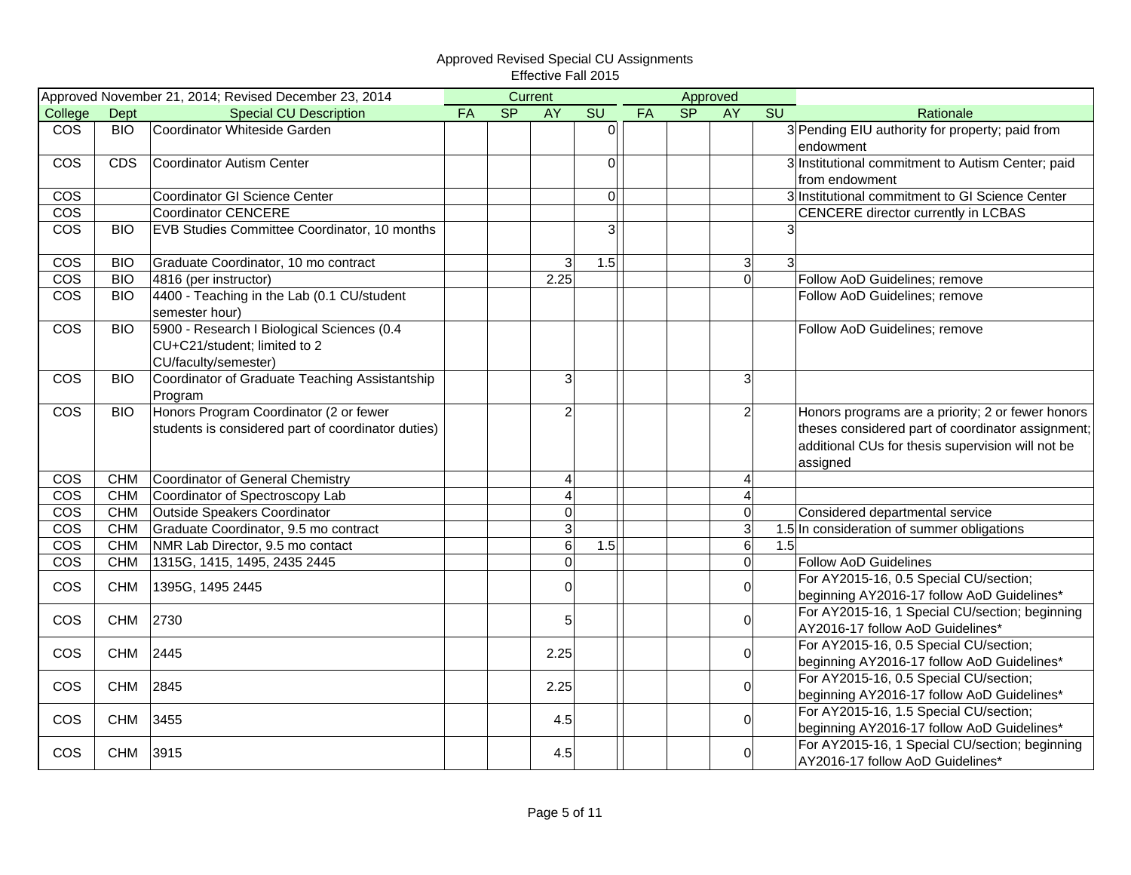|                         |            | Approved November 21, 2014; Revised December 23, 2014                                              |           |                          | Current        |                |    |    | Approved       |                                                                                                                                                                         |
|-------------------------|------------|----------------------------------------------------------------------------------------------------|-----------|--------------------------|----------------|----------------|----|----|----------------|-------------------------------------------------------------------------------------------------------------------------------------------------------------------------|
| College                 | Dept       | <b>Special CU Description</b>                                                                      | <b>FA</b> | $\overline{\mathsf{SP}}$ | <b>AY</b>      | SU             | FA | SP | <b>AY</b>      | SU<br>Rationale                                                                                                                                                         |
| <b>COS</b>              | <b>BIO</b> | Coordinator Whiteside Garden                                                                       |           |                          |                | $\overline{0}$ |    |    |                | 3 Pending EIU authority for property; paid from                                                                                                                         |
|                         |            |                                                                                                    |           |                          |                |                |    |    |                | endowment                                                                                                                                                               |
| COS                     | <b>CDS</b> | <b>Coordinator Autism Center</b>                                                                   |           |                          |                | 0              |    |    |                | 3 Institutional commitment to Autism Center; paid                                                                                                                       |
|                         |            |                                                                                                    |           |                          |                |                |    |    |                | from endowment                                                                                                                                                          |
| <b>COS</b>              |            | Coordinator GI Science Center                                                                      |           |                          |                | $\mathbf 0$    |    |    |                | 3 Institutional commitment to GI Science Center                                                                                                                         |
| $\overline{\text{cos}}$ |            | <b>Coordinator CENCERE</b>                                                                         |           |                          |                |                |    |    |                | CENCERE director currently in LCBAS                                                                                                                                     |
| $\overline{\text{cos}}$ | <b>BIO</b> | EVB Studies Committee Coordinator, 10 months                                                       |           |                          |                | 3              |    |    |                | 3                                                                                                                                                                       |
| COS                     | <b>BIO</b> | Graduate Coordinator, 10 mo contract                                                               |           |                          | 3              | 1.5            |    |    | $\mathbf{3}$   | $\mathbf{3}$                                                                                                                                                            |
| <b>COS</b>              | <b>BIO</b> | 4816 (per instructor)                                                                              |           |                          | 2.25           |                |    |    | $\overline{0}$ | Follow AoD Guidelines; remove                                                                                                                                           |
| <b>COS</b>              | <b>BIO</b> | 4400 - Teaching in the Lab (0.1 CU/student<br>semester hour)                                       |           |                          |                |                |    |    |                | Follow AoD Guidelines; remove                                                                                                                                           |
| <b>COS</b>              | <b>BIO</b> | 5900 - Research I Biological Sciences (0.4<br>CU+C21/student; limited to 2<br>CU/faculty/semester) |           |                          |                |                |    |    |                | Follow AoD Guidelines; remove                                                                                                                                           |
| <b>COS</b>              | <b>BIO</b> | Coordinator of Graduate Teaching Assistantship<br>Program                                          |           |                          | $\overline{3}$ |                |    |    | $\mathbf{3}$   |                                                                                                                                                                         |
| <b>COS</b>              | <b>BIO</b> | Honors Program Coordinator (2 or fewer<br>students is considered part of coordinator duties)       |           |                          | $\overline{2}$ |                |    |    | $\overline{2}$ | Honors programs are a priority; 2 or fewer honors<br>theses considered part of coordinator assignment;<br>additional CUs for thesis supervision will not be<br>assigned |
| COS                     | <b>CHM</b> | Coordinator of General Chemistry                                                                   |           |                          | 4              |                |    |    | $\overline{4}$ |                                                                                                                                                                         |
| $\overline{\text{cos}}$ | <b>CHM</b> | Coordinator of Spectroscopy Lab                                                                    |           |                          | 4              |                |    |    | $\overline{A}$ |                                                                                                                                                                         |
| <b>COS</b>              | <b>CHM</b> | Outside Speakers Coordinator                                                                       |           |                          | $\mathbf 0$    |                |    |    | $\mathbf 0$    | Considered departmental service                                                                                                                                         |
| <b>COS</b>              | <b>CHM</b> | Graduate Coordinator, 9.5 mo contract                                                              |           |                          | $\overline{3}$ |                |    |    | 3              | 1.5 In consideration of summer obligations                                                                                                                              |
| <b>COS</b>              | <b>CHM</b> | NMR Lab Director, 9.5 mo contact                                                                   |           |                          | $6\phantom{1}$ | 1.5            |    |    | $\sigma$       | 1.5                                                                                                                                                                     |
| <b>COS</b>              | <b>CHM</b> | 1315G, 1415, 1495, 2435 2445                                                                       |           |                          | $\overline{0}$ |                |    |    | $\mathbf 0$    | <b>Follow AoD Guidelines</b>                                                                                                                                            |
| <b>COS</b>              | <b>CHM</b> | 1395G, 1495 2445                                                                                   |           |                          | $\overline{0}$ |                |    |    | $\mathbf 0$    | For AY2015-16, 0.5 Special CU/section;<br>beginning AY2016-17 follow AoD Guidelines*                                                                                    |
| $\cos$                  | <b>CHM</b> | 2730                                                                                               |           |                          | 5              |                |    |    | 0              | For AY2015-16, 1 Special CU/section; beginning<br>AY2016-17 follow AoD Guidelines*                                                                                      |
| COS                     | <b>CHM</b> | 2445                                                                                               |           |                          | 2.25           |                |    |    | $\Omega$       | For AY2015-16, 0.5 Special CU/section;<br>beginning AY2016-17 follow AoD Guidelines*                                                                                    |
| <b>COS</b>              | <b>CHM</b> | 2845                                                                                               |           |                          | 2.25           |                |    |    | $\overline{0}$ | For AY2015-16, 0.5 Special CU/section;<br>beginning AY2016-17 follow AoD Guidelines*                                                                                    |
| <b>COS</b>              | <b>CHM</b> | 3455                                                                                               |           |                          | 4.5            |                |    |    | $\overline{0}$ | For AY2015-16, 1.5 Special CU/section;<br>beginning AY2016-17 follow AoD Guidelines*                                                                                    |
| COS                     | <b>CHM</b> | 3915                                                                                               |           |                          | 4.5            |                |    |    | 0              | For AY2015-16, 1 Special CU/section; beginning<br>AY2016-17 follow AoD Guidelines*                                                                                      |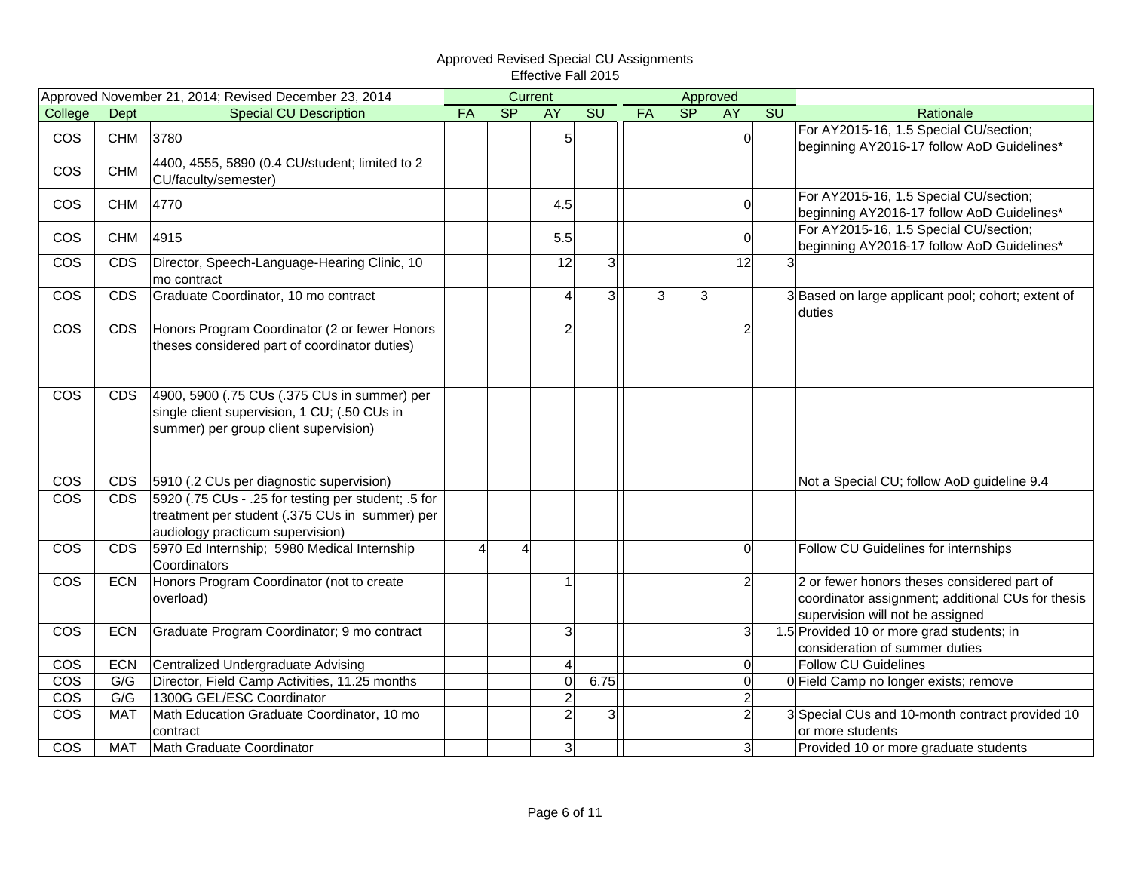|                         |                 | Approved November 21, 2014; Revised December 23, 2014     |                | Current                  |                |                |    |    | Approved       |    |                                                              |
|-------------------------|-----------------|-----------------------------------------------------------|----------------|--------------------------|----------------|----------------|----|----|----------------|----|--------------------------------------------------------------|
| College                 | Dept            | <b>Special CU Description</b>                             | FA             | $\overline{\mathsf{SP}}$ | <b>AY</b>      | SU             | FA | SP | <b>AY</b>      | SU | Rationale                                                    |
| <b>COS</b>              | <b>CHM</b>      | 3780                                                      |                |                          | $\overline{5}$ |                |    |    | $\mathbf 0$    |    | For AY2015-16, 1.5 Special CU/section;                       |
|                         |                 |                                                           |                |                          |                |                |    |    |                |    | beginning AY2016-17 follow AoD Guidelines*                   |
| COS                     | <b>CHM</b>      | 4400, 4555, 5890 (0.4 CU/student; limited to 2            |                |                          |                |                |    |    |                |    |                                                              |
|                         |                 | CU/faculty/semester)                                      |                |                          |                |                |    |    |                |    |                                                              |
| <b>COS</b>              | <b>CHM</b>      | 4770                                                      |                |                          | 4.5            |                |    |    | $\Omega$       |    | For AY2015-16, 1.5 Special CU/section;                       |
|                         |                 |                                                           |                |                          |                |                |    |    |                |    | beginning AY2016-17 follow AoD Guidelines*                   |
| <b>COS</b>              | <b>CHM</b>      | 4915                                                      |                |                          | 5.5            |                |    |    | $\mathbf 0$    |    | For AY2015-16, 1.5 Special CU/section;                       |
|                         |                 |                                                           |                |                          |                |                |    |    |                |    | beginning AY2016-17 follow AoD Guidelines*                   |
| $\cos$                  | <b>CDS</b>      | Director, Speech-Language-Hearing Clinic, 10              |                |                          | 12             | $\overline{3}$ |    |    | 12             | 3  |                                                              |
|                         |                 | mo contract<br>Graduate Coordinator, 10 mo contract       |                |                          | 4              |                | 3  |    |                |    |                                                              |
| COS                     | <b>CDS</b>      |                                                           |                |                          |                | 3              |    | 3  |                |    | 3 Based on large applicant pool; cohort; extent of<br>duties |
| COS                     | <b>CDS</b>      | Honors Program Coordinator (2 or fewer Honors             |                |                          | $\overline{2}$ |                |    |    | $\overline{2}$ |    |                                                              |
|                         |                 | theses considered part of coordinator duties)             |                |                          |                |                |    |    |                |    |                                                              |
|                         |                 |                                                           |                |                          |                |                |    |    |                |    |                                                              |
|                         |                 |                                                           |                |                          |                |                |    |    |                |    |                                                              |
| <b>COS</b>              | CD <sub>S</sub> | 4900, 5900 (.75 CUs (.375 CUs in summer) per              |                |                          |                |                |    |    |                |    |                                                              |
|                         |                 | single client supervision, 1 CU; (.50 CUs in              |                |                          |                |                |    |    |                |    |                                                              |
|                         |                 | summer) per group client supervision)                     |                |                          |                |                |    |    |                |    |                                                              |
|                         |                 |                                                           |                |                          |                |                |    |    |                |    |                                                              |
|                         |                 |                                                           |                |                          |                |                |    |    |                |    |                                                              |
| COS                     | <b>CDS</b>      | 5910 (.2 CUs per diagnostic supervision)                  |                |                          |                |                |    |    |                |    | Not a Special CU; follow AoD guideline 9.4                   |
| $\overline{\text{cos}}$ | <b>CDS</b>      | 5 for 5920 (.75 CUs - .25 for testing per student; .5 for |                |                          |                |                |    |    |                |    |                                                              |
|                         |                 | treatment per student (.375 CUs in summer) per            |                |                          |                |                |    |    |                |    |                                                              |
|                         |                 | audiology practicum supervision)                          |                |                          |                |                |    |    |                |    |                                                              |
| <b>COS</b>              | <b>CDS</b>      | 5970 Ed Internship; 5980 Medical Internship               | $\overline{4}$ | 4                        |                |                |    |    | $\overline{0}$ |    | Follow CU Guidelines for internships                         |
|                         |                 | Coordinators                                              |                |                          |                |                |    |    |                |    |                                                              |
| <b>COS</b>              | <b>ECN</b>      | Honors Program Coordinator (not to create                 |                |                          |                |                |    |    | $\overline{c}$ |    | 2 or fewer honors theses considered part of                  |
|                         |                 | overload)                                                 |                |                          |                |                |    |    |                |    | coordinator assignment; additional CUs for thesis            |
|                         |                 |                                                           |                |                          |                |                |    |    |                |    | supervision will not be assigned                             |
| <b>COS</b>              | <b>ECN</b>      | Graduate Program Coordinator; 9 mo contract               |                |                          | 3              |                |    |    | 3              |    | 1.5 Provided 10 or more grad students; in                    |
|                         |                 |                                                           |                |                          |                |                |    |    |                |    | consideration of summer duties                               |
| COS                     | <b>ECN</b>      | Centralized Undergraduate Advising                        |                |                          | $\overline{a}$ |                |    |    | 0              |    | <b>Follow CU Guidelines</b>                                  |
| $\overline{\text{cos}}$ | G/G             | Director, Field Camp Activities, 11.25 months             |                |                          | $\mathbf 0$    | 6.75           |    |    | $\mathbf 0$    |    | 0 Field Camp no longer exists; remove                        |
| <b>COS</b>              | G/G             | 1300G GEL/ESC Coordinator                                 |                |                          | $\overline{c}$ |                |    |    | $\overline{2}$ |    |                                                              |
| COS                     | <b>MAT</b>      | Math Education Graduate Coordinator, 10 mo                |                |                          | $\overline{a}$ | 3 <sup>1</sup> |    |    | $\overline{c}$ |    | 3 Special CUs and 10-month contract provided 10              |
|                         |                 | contract                                                  |                |                          |                |                |    |    |                |    | or more students                                             |
| <b>COS</b>              | <b>MAT</b>      | Math Graduate Coordinator                                 |                |                          | $\mathbf{3}$   |                |    |    | 3 <sup>1</sup> |    | Provided 10 or more graduate students                        |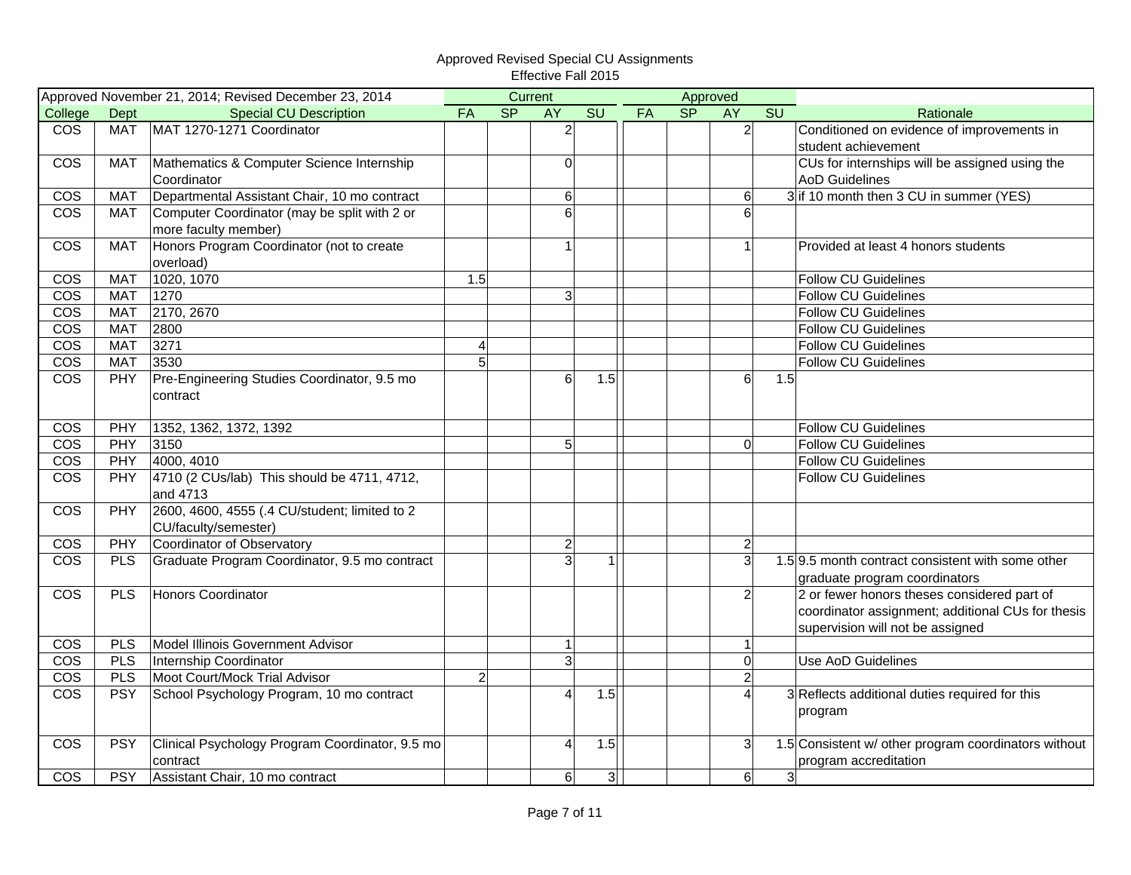|                         |            | Approved November 21, 2014; Revised December 23, 2014 |                |           | Current          |                |    |           | Approved       |                                                      |
|-------------------------|------------|-------------------------------------------------------|----------------|-----------|------------------|----------------|----|-----------|----------------|------------------------------------------------------|
| College                 | Dept       | <b>Special CU Description</b>                         | FA             | <b>SP</b> | <b>AY</b>        | SU             | FA | <b>SP</b> | <b>AY</b>      | SU<br>Rationale                                      |
| $\overline{\text{cos}}$ | <b>MAT</b> | MAT 1270-1271 Coordinator                             |                |           | $\overline{2}$   |                |    |           | $\overline{2}$ | Conditioned on evidence of improvements in           |
|                         |            |                                                       |                |           |                  |                |    |           |                | student achievement                                  |
| COS                     | <b>MAT</b> | Mathematics & Computer Science Internship             |                |           | $\Omega$         |                |    |           |                | CUs for internships will be assigned using the       |
|                         |            | Coordinator                                           |                |           |                  |                |    |           |                | <b>AoD Guidelines</b>                                |
| <b>COS</b>              | <b>MAT</b> | Departmental Assistant Chair, 10 mo contract          |                |           | 6                |                |    |           | 6              | 3 if 10 month then 3 CU in summer (YES)              |
| <b>COS</b>              | <b>MAT</b> | Computer Coordinator (may be split with 2 or          |                |           | 6                |                |    |           | 6              |                                                      |
|                         |            | more faculty member)                                  |                |           |                  |                |    |           |                |                                                      |
| <b>COS</b>              | <b>MAT</b> | Honors Program Coordinator (not to create             |                |           | 1                |                |    |           | 1              | Provided at least 4 honors students                  |
|                         |            | overload)                                             |                |           |                  |                |    |           |                |                                                      |
| COS                     | <b>MAT</b> | 1020, 1070                                            | 1.5            |           |                  |                |    |           |                | <b>Follow CU Guidelines</b>                          |
| <b>COS</b>              | <b>MAT</b> | 1270                                                  |                |           | 3                |                |    |           |                | <b>Follow CU Guidelines</b>                          |
| COS                     | <b>MAT</b> | 2170, 2670                                            |                |           |                  |                |    |           |                | <b>Follow CU Guidelines</b>                          |
| $\overline{\text{cos}}$ | <b>MAT</b> | 2800                                                  |                |           |                  |                |    |           |                | <b>Follow CU Guidelines</b>                          |
| COS                     | <b>MAT</b> | 3271                                                  | $\overline{a}$ |           |                  |                |    |           |                | <b>Follow CU Guidelines</b>                          |
| $\overline{\text{cos}}$ | <b>MAT</b> | 3530                                                  | 5              |           |                  |                |    |           |                | <b>Follow CU Guidelines</b>                          |
| $\overline{\text{cos}}$ | PHY        | Pre-Engineering Studies Coordinator, 9.5 mo           |                |           | 6                | 1.5            |    |           | 6              | 1.5                                                  |
|                         |            | contract                                              |                |           |                  |                |    |           |                |                                                      |
|                         |            |                                                       |                |           |                  |                |    |           |                |                                                      |
| COS                     | PHY        | 1352, 1362, 1372, 1392                                |                |           |                  |                |    |           |                | <b>Follow CU Guidelines</b>                          |
| <b>COS</b>              | PHY        | 3150                                                  |                |           | 5                |                |    |           | $\Omega$       | <b>Follow CU Guidelines</b>                          |
| $\overline{\text{cos}}$ | PHY        | 4000, 4010                                            |                |           |                  |                |    |           |                | <b>Follow CU Guidelines</b>                          |
| <b>COS</b>              | <b>PHY</b> | 4710 (2 CUs/lab) This should be 4711, 4712,           |                |           |                  |                |    |           |                | <b>Follow CU Guidelines</b>                          |
|                         |            | and 4713                                              |                |           |                  |                |    |           |                |                                                      |
| COS                     | <b>PHY</b> | 2600, 4600, 4555 (.4 CU/student; limited to 2         |                |           |                  |                |    |           |                |                                                      |
|                         |            | CU/faculty/semester)                                  |                |           |                  |                |    |           |                |                                                      |
| <b>COS</b>              | PHY        | Coordinator of Observatory                            |                |           | $\boldsymbol{2}$ |                |    |           | $\overline{2}$ |                                                      |
| <b>COS</b>              | <b>PLS</b> | Graduate Program Coordinator, 9.5 mo contract         |                |           | 3                | $\mathbf{1}$   |    |           | $\overline{3}$ | 1.5 9.5 month contract consistent with some other    |
|                         |            |                                                       |                |           |                  |                |    |           |                | graduate program coordinators                        |
| <b>COS</b>              | <b>PLS</b> | Honors Coordinator                                    |                |           |                  |                |    |           | $\mathbf{2}$   | 2 or fewer honors theses considered part of          |
|                         |            |                                                       |                |           |                  |                |    |           |                | coordinator assignment; additional CUs for thesis    |
|                         |            |                                                       |                |           |                  |                |    |           |                | supervision will not be assigned                     |
| COS                     | <b>PLS</b> | Model Illinois Government Advisor                     |                |           | $\mathbf{1}$     |                |    |           | 1              |                                                      |
| $\overline{\text{cos}}$ | <b>PLS</b> | Internship Coordinator                                |                |           | $\overline{3}$   |                |    |           | $\Omega$       | Use AoD Guidelines                                   |
| <b>COS</b>              | <b>PLS</b> | Moot Court/Mock Trial Advisor                         | $\overline{2}$ |           |                  |                |    |           | $\overline{2}$ |                                                      |
| $\overline{\text{cos}}$ | <b>PSY</b> | School Psychology Program, 10 mo contract             |                |           | 4                | 1.5            |    |           | 4              | 3 Reflects additional duties required for this       |
|                         |            |                                                       |                |           |                  |                |    |           |                | program                                              |
|                         |            |                                                       |                |           |                  |                |    |           |                |                                                      |
| COS                     | <b>PSY</b> | Clinical Psychology Program Coordinator, 9.5 mo       |                |           | 4                | 1.5            |    |           | 3              | 1.5 Consistent w/ other program coordinators without |
|                         |            | contract                                              |                |           |                  |                |    |           |                | program accreditation                                |
| COS                     | <b>PSY</b> | Assistant Chair, 10 mo contract                       |                |           | 6 <sup>1</sup>   | 3 <sup>1</sup> |    |           | 6              | 3 <sup>1</sup>                                       |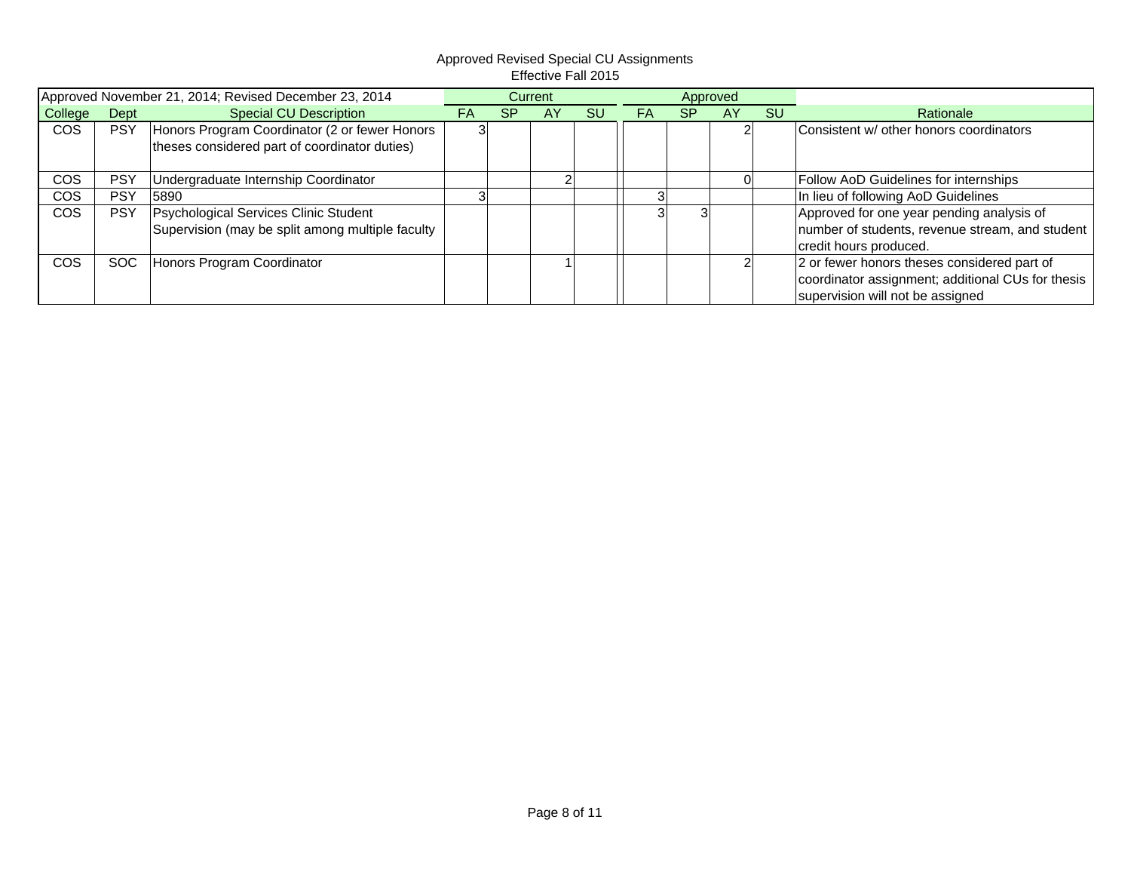|            |            | Approved November 21, 2014; Revised December 23, 2014 |    |           | Current |           |    |           | Approved |           |                                                   |
|------------|------------|-------------------------------------------------------|----|-----------|---------|-----------|----|-----------|----------|-----------|---------------------------------------------------|
| College    | Dept       | Special CU Description                                | FA | <b>SP</b> | AY      | <b>SU</b> | FA | <b>SP</b> | AY       | <b>SU</b> | Rationale                                         |
| <b>COS</b> | <b>PSY</b> | Honors Program Coordinator (2 or fewer Honors         |    |           |         |           |    |           |          |           | Consistent w/ other honors coordinators           |
|            |            | theses considered part of coordinator duties)         |    |           |         |           |    |           |          |           |                                                   |
| COS        | <b>PSY</b> | Undergraduate Internship Coordinator                  |    |           |         |           |    |           |          |           | Follow AoD Guidelines for internships             |
| <b>COS</b> | <b>PSY</b> | 5890                                                  |    |           |         |           |    |           |          |           | In lieu of following AoD Guidelines               |
| <b>COS</b> | <b>PSY</b> | Psychological Services Clinic Student                 |    |           |         |           |    |           |          |           | Approved for one year pending analysis of         |
|            |            | Supervision (may be split among multiple faculty      |    |           |         |           |    |           |          |           | number of students, revenue stream, and student   |
|            |            |                                                       |    |           |         |           |    |           |          |           | credit hours produced.                            |
| <b>COS</b> | <b>SOC</b> | Honors Program Coordinator                            |    |           |         |           |    |           |          |           | 2 or fewer honors theses considered part of       |
|            |            |                                                       |    |           |         |           |    |           |          |           | coordinator assignment; additional CUs for thesis |
|            |            |                                                       |    |           |         |           |    |           |          |           | supervision will not be assigned                  |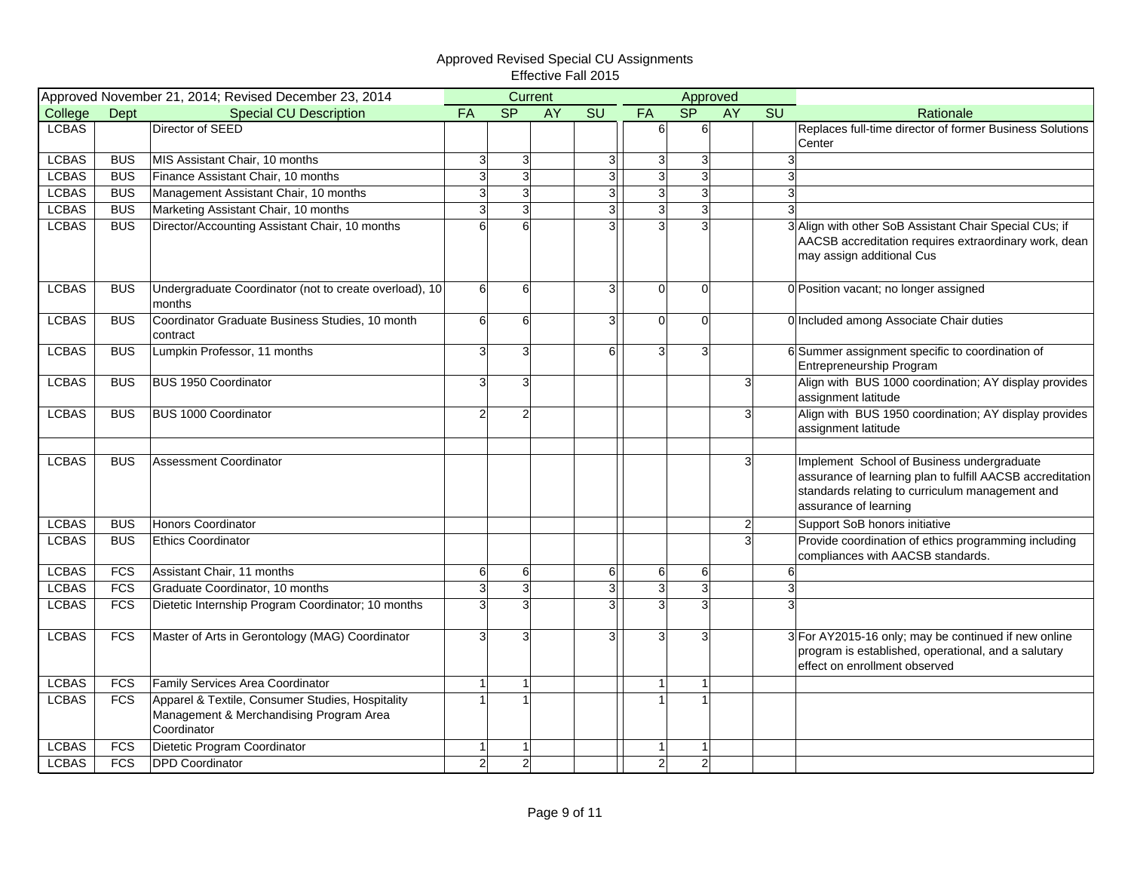|              | Approved November 21, 2014; Revised December 23, 2014 |                                                                                                            |                |                | Current   |                        | Approved       |                |                |                        |                                                                                                                                                                                     |
|--------------|-------------------------------------------------------|------------------------------------------------------------------------------------------------------------|----------------|----------------|-----------|------------------------|----------------|----------------|----------------|------------------------|-------------------------------------------------------------------------------------------------------------------------------------------------------------------------------------|
| College      | <b>Dept</b>                                           | <b>Special CU Description</b>                                                                              | <b>FA</b>      | SP             | <b>AY</b> | $\overline{\text{SU}}$ | FA             | S <sub>P</sub> | <b>AY</b>      | $\overline{\text{SU}}$ | Rationale                                                                                                                                                                           |
| <b>LCBAS</b> |                                                       | Director of SEED                                                                                           |                |                |           |                        | $6 \mid$       | 6 <sup>1</sup> |                |                        | Replaces full-time director of former Business Solutions<br>Center                                                                                                                  |
| <b>LCBAS</b> | <b>BUS</b>                                            | MIS Assistant Chair, 10 months                                                                             | 3 <sup>l</sup> | 3 <sup>l</sup> |           | $\mathbf{3}$           | 3              | $\overline{3}$ |                | 3                      |                                                                                                                                                                                     |
| <b>LCBAS</b> | <b>BUS</b>                                            | Finance Assistant Chair, 10 months                                                                         | $\mathsf{a}$   | ω              |           | $\overline{3}$         | 3              | $\overline{3}$ |                |                        |                                                                                                                                                                                     |
| <b>LCBAS</b> | <b>BUS</b>                                            | Management Assistant Chair, 10 months                                                                      | 3              | 3 <sup>1</sup> |           | 3                      | ω              | $\overline{3}$ |                |                        |                                                                                                                                                                                     |
| <b>LCBAS</b> | BUS                                                   | Marketing Assistant Chair, 10 months                                                                       | 3 <sup>1</sup> | 3 <sup>1</sup> |           | $\mathbf{3}$           | $\overline{3}$ | $\overline{3}$ |                |                        |                                                                                                                                                                                     |
| <b>LCBAS</b> | BUS                                                   | Director/Accounting Assistant Chair, 10 months                                                             | 6              | 6              |           | $\overline{3}$         | 3              |                |                |                        | 3 Align with other SoB Assistant Chair Special CUs; if<br>AACSB accreditation requires extraordinary work, dean<br>may assign additional Cus                                        |
| <b>LCBAS</b> | <b>BUS</b>                                            | Undergraduate Coordinator (not to create overload), 10<br>months                                           | $6 \mid$       | 6              |           | $\overline{3}$         | $\mathbf 0$    | $\Omega$       |                |                        | 0 Position vacant; no longer assigned                                                                                                                                               |
| <b>LCBAS</b> | BUS                                                   | Coordinator Graduate Business Studies, 10 month<br>contract                                                | 6              | 6              |           | 3                      | $\mathbf 0$    | $\Omega$       |                |                        | 0 Included among Associate Chair duties                                                                                                                                             |
| <b>LCBAS</b> | <b>BUS</b>                                            | Lumpkin Professor, 11 months                                                                               | $\mathbf{3}$   | 3              |           | 6 <sup>1</sup>         | 3              | $\mathbf{B}$   |                |                        | 6 Summer assignment specific to coordination of<br>Entrepreneurship Program                                                                                                         |
| <b>LCBAS</b> | <b>BUS</b>                                            | <b>BUS 1950 Coordinator</b>                                                                                | 3              | $\overline{3}$ |           |                        |                |                | 31             |                        | Align with BUS 1000 coordination; AY display provides<br>assignment latitude                                                                                                        |
| <b>LCBAS</b> | <b>BUS</b>                                            | BUS 1000 Coordinator                                                                                       | $\overline{2}$ | $\overline{2}$ |           |                        |                |                | 3              |                        | Align with BUS 1950 coordination; AY display provides<br>assignment latitude                                                                                                        |
| <b>LCBAS</b> | <b>BUS</b>                                            | <b>Assessment Coordinator</b>                                                                              |                |                |           |                        |                |                | 3              |                        | Implement School of Business undergraduate<br>assurance of learning plan to fulfill AACSB accreditation<br>standards relating to curriculum management and<br>assurance of learning |
| <b>LCBAS</b> | <b>BUS</b>                                            | Honors Coordinator                                                                                         |                |                |           |                        |                |                | $\overline{2}$ |                        | Support SoB honors initiative                                                                                                                                                       |
| <b>LCBAS</b> | BUS                                                   | <b>Ethics Coordinator</b>                                                                                  |                |                |           |                        |                |                | 3              |                        | Provide coordination of ethics programming including<br>compliances with AACSB standards.                                                                                           |
| <b>LCBAS</b> | <b>FCS</b>                                            | Assistant Chair, 11 months                                                                                 | 6              | 6              |           | 6                      | 6              | 6              |                | 6                      |                                                                                                                                                                                     |
| <b>LCBAS</b> | <b>FCS</b>                                            | Graduate Coordinator, 10 months                                                                            | $\mathsf{a}$   | 3              |           | 3                      | 3              | $\overline{3}$ |                | 3                      |                                                                                                                                                                                     |
| <b>LCBAS</b> | FCS                                                   | Dietetic Internship Program Coordinator; 10 months                                                         | $\mathbf{3}$   | 3              |           | 3                      | 3              | $\mathbf{3}$   |                |                        |                                                                                                                                                                                     |
| <b>LCBAS</b> | <b>FCS</b>                                            | Master of Arts in Gerontology (MAG) Coordinator                                                            | 3 <sup>1</sup> | 3              |           | $\overline{3}$         | 3              | 3              |                |                        | 3 For AY2015-16 only; may be continued if new online<br>program is established, operational, and a salutary<br>effect on enrollment observed                                        |
| <b>LCBAS</b> | <b>FCS</b>                                            | Family Services Area Coordinator                                                                           |                | 1              |           |                        | $\mathbf{1}$   |                |                |                        |                                                                                                                                                                                     |
| <b>LCBAS</b> | <b>FCS</b>                                            | Apparel & Textile, Consumer Studies, Hospitality<br>Management & Merchandising Program Area<br>Coordinator |                | $\mathbf{1}$   |           |                        |                |                |                |                        |                                                                                                                                                                                     |
| <b>LCBAS</b> | <b>FCS</b>                                            | Dietetic Program Coordinator                                                                               |                | 1              |           |                        | 1              |                |                |                        |                                                                                                                                                                                     |
| <b>LCBAS</b> | <b>FCS</b>                                            | <b>DPD</b> Coordinator                                                                                     | $\overline{2}$ | $\overline{a}$ |           |                        | $\overline{2}$ | $\overline{2}$ |                |                        |                                                                                                                                                                                     |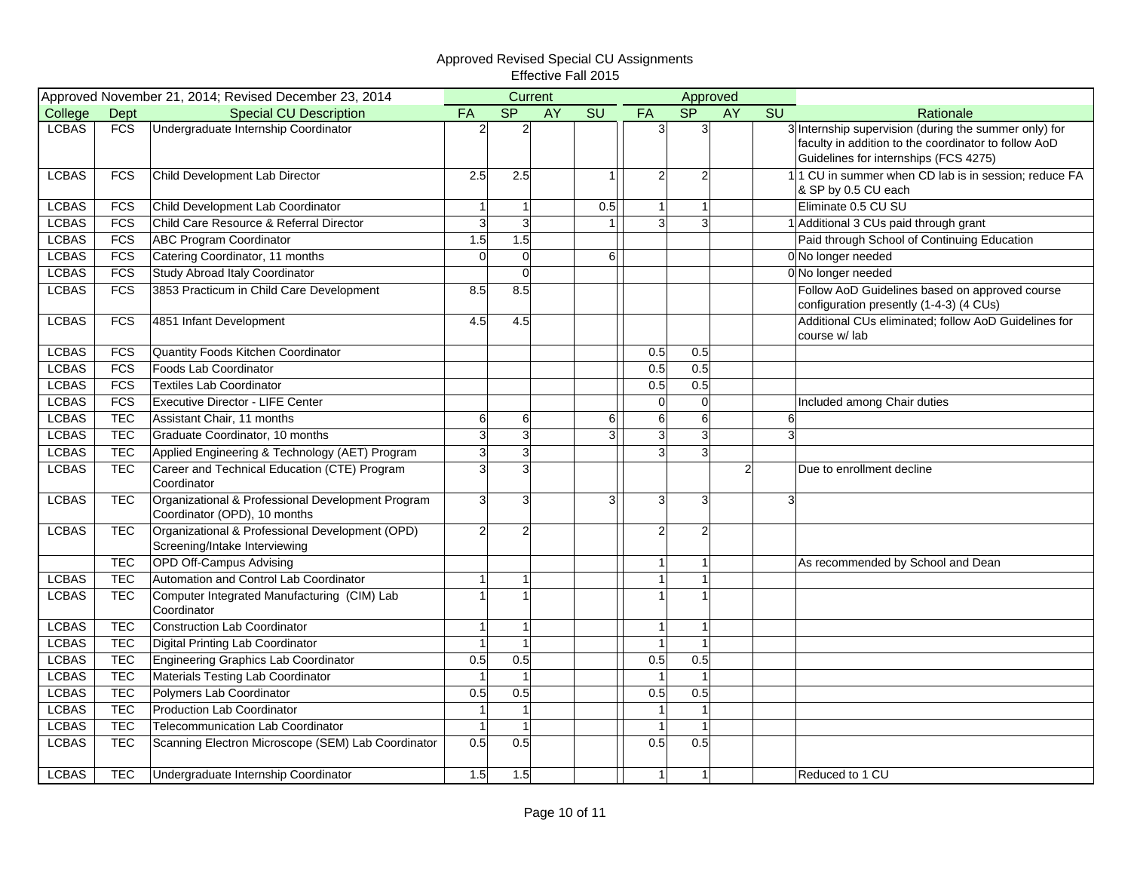|              |            | Approved November 21, 2014; Revised December 23, 2014                             |                |                | Current |                |                |                  | Approved       |    |                                                                                                                                                        |
|--------------|------------|-----------------------------------------------------------------------------------|----------------|----------------|---------|----------------|----------------|------------------|----------------|----|--------------------------------------------------------------------------------------------------------------------------------------------------------|
| College      | Dept       | <b>Special CU Description</b>                                                     | <b>FA</b>      | S <sub>P</sub> | AY      | SU             | <b>FA</b>      | <b>SP</b>        | AY             | SU | Rationale                                                                                                                                              |
| <b>LCBAS</b> | FCS        | Undergraduate Internship Coordinator                                              | $\overline{2}$ | $\overline{c}$ |         |                | 31             | $\mathbf{B}$     |                |    | 3 Internship supervision (during the summer only) for<br>faculty in addition to the coordinator to follow AoD<br>Guidelines for internships (FCS 4275) |
| <b>LCBAS</b> | FCS        | Child Development Lab Director                                                    | 2.5            | 2.5            |         | 1              | $\overline{2}$ | $\overline{2}$   |                |    | 11 CU in summer when CD lab is in session; reduce FA<br>& SP by 0.5 CU each                                                                            |
| <b>LCBAS</b> | <b>FCS</b> | Child Development Lab Coordinator                                                 | $\mathbf{1}$   | $\mathbf{1}$   |         | 0.5            | 1 <sup>1</sup> | 1                |                |    | Eliminate 0.5 CU SU                                                                                                                                    |
| <b>LCBAS</b> | <b>FCS</b> | Child Care Resource & Referral Director                                           | 3              | 3              |         |                | $\overline{3}$ | 3                |                |    | 1 Additional 3 CUs paid through grant                                                                                                                  |
| <b>LCBAS</b> | FCS        | <b>ABC Program Coordinator</b>                                                    | 1.5            | 1.5            |         |                |                |                  |                |    | Paid through School of Continuing Education                                                                                                            |
| <b>LCBAS</b> | FCS        | Catering Coordinator, 11 months                                                   | $\mathbf 0$    | $\overline{0}$ |         | 6              |                |                  |                |    | 0 No longer needed                                                                                                                                     |
| <b>LCBAS</b> | <b>FCS</b> | <b>Study Abroad Italy Coordinator</b>                                             |                | $\overline{0}$ |         |                |                |                  |                |    | 0 No longer needed                                                                                                                                     |
| <b>LCBAS</b> | FCS        | 3853 Practicum in Child Care Development                                          | 8.5            | 8.5            |         |                |                |                  |                |    | Follow AoD Guidelines based on approved course<br>configuration presently (1-4-3) (4 CUs)                                                              |
| <b>LCBAS</b> | <b>FCS</b> | 4851 Infant Development                                                           | 4.5            | 4.5            |         |                |                |                  |                |    | Additional CUs eliminated; follow AoD Guidelines for<br>course w/lab                                                                                   |
| <b>LCBAS</b> | <b>FCS</b> | Quantity Foods Kitchen Coordinator                                                |                |                |         |                | 0.5            | 0.5              |                |    |                                                                                                                                                        |
| <b>LCBAS</b> | FCS        | Foods Lab Coordinator                                                             |                |                |         |                | 0.5            | 0.5              |                |    |                                                                                                                                                        |
| <b>LCBAS</b> | <b>FCS</b> | <b>Textiles Lab Coordinator</b>                                                   |                |                |         |                | 0.5            | 0.5              |                |    |                                                                                                                                                        |
| <b>LCBAS</b> | FCS        | Executive Director - LIFE Center                                                  |                |                |         |                | $\overline{0}$ | $\overline{0}$   |                |    | Included among Chair duties                                                                                                                            |
| <b>LCBAS</b> | <b>TEC</b> | Assistant Chair, 11 months                                                        | 6              | 6              |         | 6              | 6 <sup>1</sup> | $6 \overline{6}$ |                | 6  |                                                                                                                                                        |
| <b>LCBAS</b> | <b>TEC</b> | Graduate Coordinator, 10 months                                                   | 3              | ω              |         | $\overline{3}$ | 3 <sup>1</sup> | 3                |                | 3  |                                                                                                                                                        |
| <b>LCBAS</b> | <b>TEC</b> | Applied Engineering & Technology (AET) Program                                    | $\overline{3}$ | $\overline{3}$ |         |                | 3 <sup>1</sup> | 3                |                |    |                                                                                                                                                        |
| <b>LCBAS</b> | <b>TEC</b> | Career and Technical Education (CTE) Program<br>Coordinator                       | $\mathsf{a}$   | 3              |         |                |                |                  | $\overline{2}$ |    | Due to enrollment decline                                                                                                                              |
| <b>LCBAS</b> | <b>TEC</b> | Organizational & Professional Development Program<br>Coordinator (OPD), 10 months | $\mathbf{3}$   | 3              |         | 3              | 3 <sup>1</sup> | 3 <sup>l</sup>   |                | 3  |                                                                                                                                                        |
| <b>LCBAS</b> | <b>TEC</b> | Organizational & Professional Development (OPD)<br>Screening/Intake Interviewing  | $\overline{2}$ | $\overline{2}$ |         |                | $\mathbf{2}$   | $\overline{2}$   |                |    |                                                                                                                                                        |
|              | <b>TEC</b> | <b>OPD Off-Campus Advising</b>                                                    |                |                |         |                | 1              |                  |                |    | As recommended by School and Dean                                                                                                                      |
| <b>LCBAS</b> | <b>TEC</b> | Automation and Control Lab Coordinator                                            | 1              | $\overline{1}$ |         |                | $\mathbf{1}$   |                  |                |    |                                                                                                                                                        |
| <b>LCBAS</b> | <b>TEC</b> | Computer Integrated Manufacturing (CIM) Lab<br>Coordinator                        |                |                |         |                | $\overline{1}$ |                  |                |    |                                                                                                                                                        |
| <b>LCBAS</b> | <b>TEC</b> | <b>Construction Lab Coordinator</b>                                               | 1              | $\mathbf{1}$   |         |                | 1              | 1                |                |    |                                                                                                                                                        |
| <b>LCBAS</b> | <b>TEC</b> | Digital Printing Lab Coordinator                                                  | $\mathbf{1}$   | $\overline{1}$ |         |                | $\overline{1}$ |                  |                |    |                                                                                                                                                        |
| <b>LCBAS</b> | <b>TEC</b> | Engineering Graphics Lab Coordinator                                              | 0.5            | 0.5            |         |                | 0.5            | 0.5              |                |    |                                                                                                                                                        |
| <b>LCBAS</b> | <b>TEC</b> | Materials Testing Lab Coordinator                                                 | $\mathbf{1}$   | $\mathbf{1}$   |         |                | $\mathbf{1}$   |                  |                |    |                                                                                                                                                        |
| <b>LCBAS</b> | <b>TEC</b> | Polymers Lab Coordinator                                                          | 0.5            | 0.5            |         |                | 0.5            | 0.5              |                |    |                                                                                                                                                        |
| <b>LCBAS</b> | <b>TEC</b> | Production Lab Coordinator                                                        | $\mathbf{1}$   | $\mathbf{1}$   |         |                | $\mathbf{1}$   |                  |                |    |                                                                                                                                                        |
| <b>LCBAS</b> | <b>TEC</b> | <b>Telecommunication Lab Coordinator</b>                                          | $\overline{1}$ | $\overline{1}$ |         |                | $\mathbf{1}$   | 1                |                |    |                                                                                                                                                        |
| <b>LCBAS</b> | <b>TEC</b> | Scanning Electron Microscope (SEM) Lab Coordinator                                | 0.5            | 0.5            |         |                | 0.5            | 0.5              |                |    |                                                                                                                                                        |
| <b>LCBAS</b> | <b>TEC</b> | Undergraduate Internship Coordinator                                              | 1.5            | 1.5            |         |                | 1              | $\overline{1}$   |                |    | Reduced to 1 CU                                                                                                                                        |